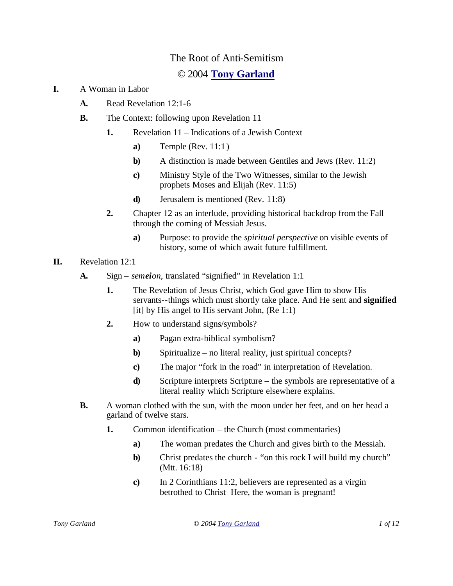## The Root of Anti-Semitism

## © 2004 **Tony Garland**

- **I.** A Woman in Labor
	- **A.** Read Revelation 12:1-6
	- **B.** The Context: following upon Revelation 11
		- **1.** Revelation 11 Indications of a Jewish Context
			- **a)** Temple (Rev. 11:1)
			- **b)** A distinction is made between Gentiles and Jews (Rev. 11:2)
			- **c)** Ministry Style of the Two Witnesses, similar to the Jewish prophets Moses and Elijah (Rev. 11:5)
			- **d)** Jerusalem is mentioned (Rev. 11:8)
		- **2.** Chapter 12 as an interlude, providing historical backdrop from the Fall through the coming of Messiah Jesus.
			- **a)** Purpose: to provide the *spiritual perspective* on visible events of history, some of which await future fulfillment.
- **II.** Revelation 12:1
	- **A.** Sign *semeion*, translated "signified" in Revelation 1:1
		- **1.** The Revelation of Jesus Christ, which God gave Him to show His servants--things which must shortly take place. And He sent and **signified** [it] by His angel to His servant John,  $(Re 1:1)$
		- **2.** How to understand signs/symbols?
			- **a)** Pagan extra-biblical symbolism?
			- **b**) Spiritualize no literal reality, just spiritual concepts?
			- **c)** The major "fork in the road" in interpretation of Revelation.
			- **d)** Scripture interprets Scripture the symbols are representative of a literal reality which Scripture elsewhere explains.
	- **B.** A woman clothed with the sun, with the moon under her feet, and on her head a garland of twelve stars.
		- **1.** Common identification the Church (most commentaries)
			- **a)** The woman predates the Church and gives birth to the Messiah.
			- **b)** Christ predates the church "on this rock I will build my church" (Mtt. 16:18)
			- **c)** In 2 Corinthians 11:2, believers are represented as a virgin betrothed to Christ Here, the woman is pregnant!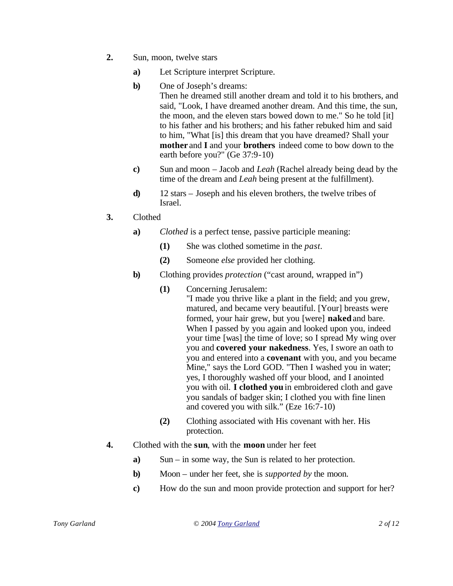- **2.** Sun, moon, twelve stars
	- **a)** Let Scripture interpret Scripture.
	- **b)** One of Joseph's dreams: Then he dreamed still another dream and told it to his brothers, and said, "Look, I have dreamed another dream. And this time, the sun, the moon, and the eleven stars bowed down to me." So he told [it] to his father and his brothers; and his father rebuked him and said to him, "What [is] this dream that you have dreamed? Shall your **mother** and **I** and your **brothers** indeed come to bow down to the earth before you?" (Ge 37:9-10)
	- **c)** Sun and moon Jacob and *Leah* (Rachel already being dead by the time of the dream and *Leah* being present at the fulfillment).
	- **d)** 12 stars Joseph and his eleven brothers, the twelve tribes of Israel.
- **3.** Clothed
	- **a)** *Clothed* is a perfect tense, passive participle meaning:
		- **(1)** She was clothed sometime in the *past.*
		- **(2)** Someone *else* provided her clothing.
	- **b)** Clothing provides *protection* ("cast around, wrapped in")
		- **(1)** Concerning Jerusalem:
			- "I made you thrive like a plant in the field; and you grew, matured, and became very beautiful. [Your] breasts were formed, your hair grew, but you [were] **naked** and bare. When I passed by you again and looked upon you, indeed your time [was] the time of love; so I spread My wing over you and **covered your nakedness**. Yes, I swore an oath to you and entered into a **covenant** with you, and you became Mine," says the Lord GOD. "Then I washed you in water; yes, I thoroughly washed off your blood, and I anointed you with oil. **I clothed you** in embroidered cloth and gave you sandals of badger skin; I clothed you with fine linen and covered you with silk." (Eze 16:7-10)
		- **(2)** Clothing associated with His covenant with her. His protection.
- **4.** Clothed with the **sun**, with the **moon** under her feet
	- **a)** Sun in some way, the Sun is related to her protection.
	- **b)** Moon under her feet, she is *supported by* the moon.
	- **c)** How do the sun and moon provide protection and support for her?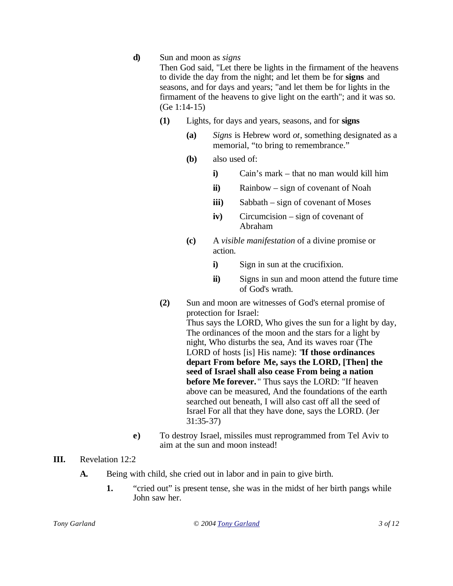**d)** Sun and moon as *signs*

Then God said, "Let there be lights in the firmament of the heavens to divide the day from the night; and let them be for **signs** and seasons, and for days and years; "and let them be for lights in the firmament of the heavens to give light on the earth"; and it was so. (Ge 1:14-15)

- **(1)** Lights, for days and years, seasons, and for **signs**
	- **(a)** *Signs* is Hebrew word *ot*, something designated as a memorial, "to bring to remembrance."
	- **(b)** also used of:
		- **i)** Cain's mark that no man would kill him
		- **ii)** Rainbow sign of covenant of Noah
		- **iii)** Sabbath sign of covenant of Moses
		- **iv)** Circumcision sign of covenant of Abraham
	- **(c)** A *visible manifestation* of a divine promise or action.
		- **i**) Sign in sun at the crucifixion.
		- **ii**) Signs in sun and moon attend the future time of God's wrath.
- **(2)** Sun and moon are witnesses of God's eternal promise of protection for Israel: Thus says the LORD, Who gives the sun for a light by day, The ordinances of the moon and the stars for a light by night, Who disturbs the sea, And its waves roar (The LORD of hosts [is] His name): "**If those ordinances depart From before Me, says the LORD, [Then] the seed of Israel shall also cease From being a nation before Me forever.** " Thus says the LORD: "If heaven above can be measured, And the foundations of the earth searched out beneath, I will also cast off all the seed of Israel For all that they have done, says the LORD. (Jer 31:35-37)
- **e)** To destroy Israel, missiles must reprogrammed from Tel Aviv to aim at the sun and moon instead!

## **III.** Revelation 12:2

- **A.** Being with child, she cried out in labor and in pain to give birth.
	- **1.** "cried out" is present tense, she was in the midst of her birth pangs while John saw her.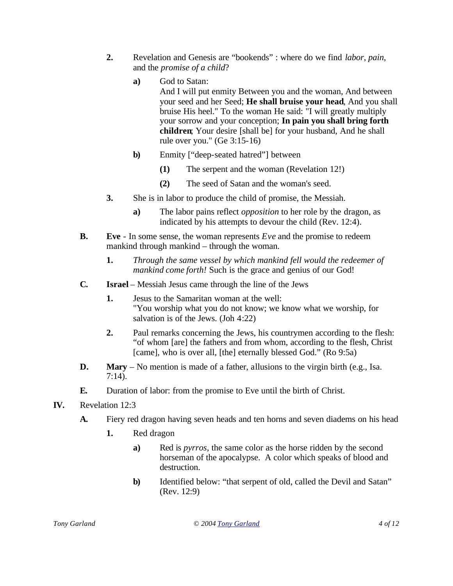- **2.** Revelation and Genesis are "bookends" : where do we find *labor*, *pain*, and the *promise of a child*?
	- **a)** God to Satan: And I will put enmity Between you and the woman, And between your seed and her Seed; **He shall bruise your head**, And you shall bruise His heel." To the woman He said: "I will greatly multiply your sorrow and your conception; **In pain you shall bring forth children**; Your desire [shall be] for your husband, And he shall rule over you." (Ge 3:15-16)
	- **b)** Enmity ["deep-seated hatred"] between
		- **(1)** The serpent and the woman (Revelation 12!)
		- **(2)** The seed of Satan and the woman's seed.
- **3.** She is in labor to produce the child of promise, the Messiah.
	- **a)** The labor pains reflect *opposition* to her role by the dragon, as indicated by his attempts to devour the child (Rev. 12:4).
- **B. Eve** In some sense, the woman represents *Eve* and the promise to redeem mankind through mankind – through the woman.
	- **1.** *Through the same vessel by which mankind fell would the redeemer of mankind come forth!* Such is the grace and genius of our God!
- **C. Israel** Messiah Jesus came through the line of the Jews
	- **1.** Jesus to the Samaritan woman at the well: "You worship what you do not know; we know what we worship, for salvation is of the Jews. (Joh 4:22)
	- **2.** Paul remarks concerning the Jews, his countrymen according to the flesh: "of whom [are] the fathers and from whom, according to the flesh, Christ [came], who is over all, [the] eternally blessed God." (Ro 9:5a)
- **D. Mary** No mention is made of a father, allusions to the virgin birth (e.g., Isa. 7:14).
- **E.** Duration of labor: from the promise to Eve until the birth of Christ.
- **IV.** Revelation 12:3
	- **A.** Fiery red dragon having seven heads and ten horns and seven diadems on his head
		- **1.** Red dragon
			- **a)** Red is *pyrros*, the same color as the horse ridden by the second horseman of the apocalypse. A color which speaks of blood and destruction.
			- **b)** Identified below: "that serpent of old, called the Devil and Satan" (Rev. 12:9)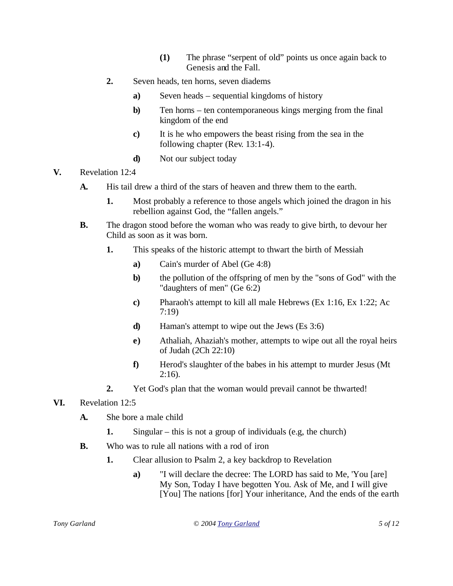- **(1)** The phrase "serpent of old" points us once again back to Genesis and the Fall.
- **2.** Seven heads, ten horns, seven diadems
	- **a)** Seven heads sequential kingdoms of history
	- **b)** Ten horns ten contemporaneous kings merging from the final kingdom of the end
	- **c)** It is he who empowers the beast rising from the sea in the following chapter (Rev. 13:1-4).
	- **d)** Not our subject today
- **V.** Revelation 12:4
	- **A.** His tail drew a third of the stars of heaven and threw them to the earth.
		- **1.** Most probably a reference to those angels which joined the dragon in his rebellion against God, the "fallen angels."
	- **B.** The dragon stood before the woman who was ready to give birth, to devour her Child as soon as it was born.
		- **1.** This speaks of the historic attempt to thwart the birth of Messiah
			- **a)** Cain's murder of Abel (Ge 4:8)
			- **b)** the pollution of the offspring of men by the "sons of God" with the "daughters of men" (Ge 6:2)
			- **c)** Pharaoh's attempt to kill all male Hebrews (Ex 1:16, Ex 1:22; Ac 7:19)
			- **d)** Haman's attempt to wipe out the Jews (Es 3:6)
			- **e)** Athaliah, Ahaziah's mother, attempts to wipe out all the royal heirs of Judah (2Ch 22:10)
			- **f)** Herod's slaughter of the babes in his attempt to murder Jesus (Mt  $2:16$ ).
		- **2.** Yet God's plan that the woman would prevail cannot be thwarted!
- **VI.** Revelation 12:5
	- **A.** She bore a male child
		- **1.** Singular this is not a group of individuals (e.g, the church)
	- **B.** Who was to rule all nations with a rod of iron
		- **1.** Clear allusion to Psalm 2, a key backdrop to Revelation
			- **a)** "I will declare the decree: The LORD has said to Me, 'You [are] My Son, Today I have begotten You. Ask of Me, and I will give [You] The nations [for] Your inheritance, And the ends of the earth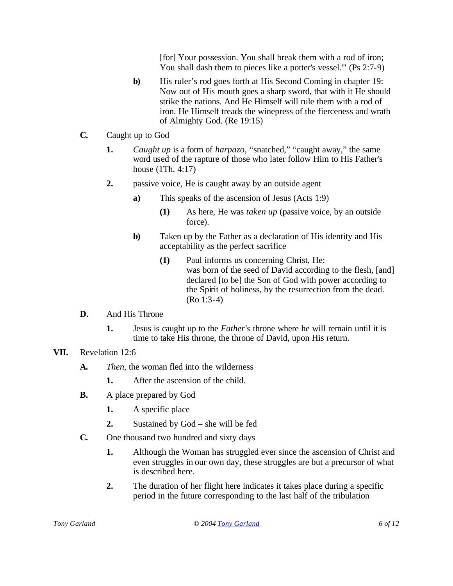[for] Your possession. You shall break them with a rod of iron; You shall dash them to pieces like a potter's vessel.'" (Ps 2:7-9)

- **b**) His ruler's rod goes forth at His Second Coming in chapter 19: Now out of His mouth goes a sharp sword, that with it He should strike the nations. And He Himself will rule them with a rod of iron. He Himself treads the winepress of the fierceness and wrath of Almighty God. (Re 19:15)
- **C.** Caught up to God
	- **1.** *Caught up* is a form of *harpazo,* "snatched," "caught away," the same word used of the rapture of those who later follow Him to His Father's house (1Th. 4:17)
	- **2.** passive voice, He is caught away by an outside agent
		- **a)** This speaks of the ascension of Jesus (Acts 1:9)
			- **(1)** As here, He was *taken up* (passive voice, by an outside force).
		- **b)** Taken up by the Father as a declaration of His identity and His acceptability as the perfect sacrifice
			- **(1)** Paul informs us concerning Christ, He: was born of the seed of David according to the flesh, [and] declared [to be] the Son of God with power according to the Spirit of holiness, by the resurrection from the dead. (Ro 1:3-4)
- **D.** And His Throne
	- **1.** Jesus is caught up to the *Father's* throne where he will remain until it is time to take His throne, the throne of David, upon His return.
- **VII.** Revelation 12:6
	- **A.** *Then*, the woman fled into the wilderness
		- **1.** After the ascension of the child.
	- **B.** A place prepared by God
		- **1.** A specific place
		- **2.** Sustained by God she will be fed
	- **C.** One thousand two hundred and sixty days
		- **1.** Although the Woman has struggled ever since the ascension of Christ and even struggles in our own day, these struggles are but a precursor of what is described here.
		- **2.** The duration of her flight here indicates it takes place during a specific period in the future corresponding to the last half of the tribulation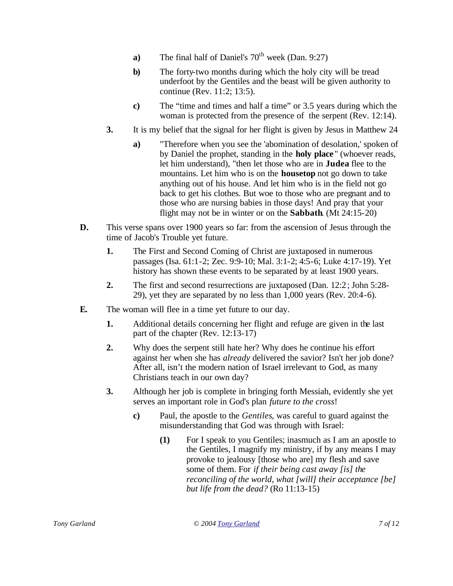- **a**) The final half of Daniel's  $70<sup>th</sup>$  week (Dan. 9:27)
- **b)** The forty-two months during which the holy city will be tread underfoot by the Gentiles and the beast will be given authority to continue (Rev. 11:2; 13:5).
- **c)** The "time and times and half a time" or 3.5 years during which the woman is protected from the presence of the serpent (Rev. 12:14).
- **3.** It is my belief that the signal for her flight is given by Jesus in Matthew 24
	- **a)** "Therefore when you see the 'abomination of desolation,' spoken of by Daniel the prophet, standing in the **holy place** " (whoever reads, let him understand), "then let those who are in **Judea** flee to the mountains. Let him who is on the **housetop** not go down to take anything out of his house. And let him who is in the field not go back to get his clothes. But woe to those who are pregnant and to those who are nursing babies in those days! And pray that your flight may not be in winter or on the **Sabbath**. (Mt 24:15-20)
- **D.** This verse spans over 1900 years so far: from the ascension of Jesus through the time of Jacob's Trouble yet future.
	- **1.** The First and Second Coming of Christ are juxtaposed in numerous passages (Isa. 61:1-2; Zec. 9:9-10; Mal. 3:1-2; 4:5-6; Luke 4:17-19). Yet history has shown these events to be separated by at least 1900 years.
	- **2.** The first and second resurrections are juxtaposed (Dan. 12:2; John 5:28- 29), yet they are separated by no less than 1,000 years (Rev. 20:4-6).
- **E.** The woman will flee in a time yet future to our day.
	- **1.** Additional details concerning her flight and refuge are given in the last part of the chapter (Rev. 12:13-17)
	- **2.** Why does the serpent still hate her? Why does he continue his effort against her when she has *already* delivered the savior? Isn't her job done? After all, isn't the modern nation of Israel irrelevant to God, as many Christians teach in our own day?
	- **3.** Although her job is complete in bringing forth Messiah, evidently she yet serves an important role in God's plan *future to the cross*!
		- **c)** Paul, the apostle to the *Gentiles*, was careful to guard against the misunderstanding that God was through with Israel:
			- **(1)** For I speak to you Gentiles; inasmuch as I am an apostle to the Gentiles, I magnify my ministry, if by any means I may provoke to jealousy [those who are] my flesh and save some of them. For *if their being cast away [is] the reconciling of the world*, *what [will] their acceptance [be] but life from the dead?* (Ro 11:13-15)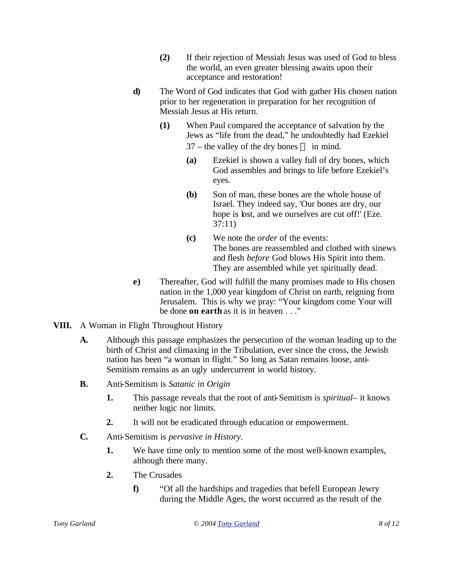- **(2)** If their rejection of Messiah Jesus was used of God to bless the world, an even greater blessing awaits upon their acceptance and restoration!
- **d)** The Word of God indicates that God with gather His chosen nation prior to her regeneration in preparation for her recognition of Messiah Jesus at His return.
	- **(1)** When Paul compared the acceptance of salvation by the Jews as "life from the dead," he undoubtedly had Ezekiel  $37$  – the valley of the dry bones — in mind.
		- **(a)** Ezekiel is shown a valley full of dry bones, which God assembles and brings to life before Ezekiel's eyes.
		- **(b)** Son of man, these bones are the whole house of Israel. They indeed say, 'Our bones are dry, our hope is lost, and we ourselves are cut off!' (Eze. 37:11)
		- **(c)** We note the *order* of the events: The bones are reassembled and clothed with sinews and flesh *before* God blows His Spirit into them. They are assembled while yet spiritually dead.
- **e)** Thereafter, God will fulfill the many promises made to His chosen nation in the 1,000 year kingdom of Christ on earth, reigning from Jerusalem. This is why we pray: "Your kingdom come Your will be done **on earth** as it is in heaven . . ."
- **VIII.** A Woman in Flight Throughout History
	- **A.** Although this passage emphasizes the persecution of the woman leading up to the birth of Christ and climaxing in the Tribulation, ever since the cross, the Jewish nation has been "a woman in flight." So long as Satan remains loose, anti-Semitism remains as an ugly undercurrent in world history.
	- **B.** Anti-Semitism is *Satanic in Origin*
		- **1.** This passage reveals that the root of anti-Semitism is *spiritual–* it knows neither logic nor limits.
		- **2.** It will not be eradicated through education or empowerment.
	- **C.** Anti-Semitism is *pervasive in History*.
		- **1.** We have time only to mention some of the most well-known examples, although there many.
		- **2.** The Crusades
			- **f)** "Of all the hardships and tragedies that befell European Jewry during the Middle Ages, the worst occurred as the result of the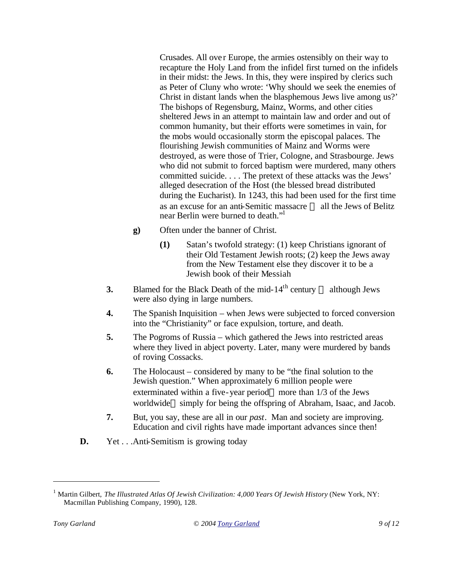Crusades. All over Europe, the armies ostensibly on their way to recapture the Holy Land from the infidel first turned on the infidels in their midst: the Jews. In this, they were inspired by clerics such as Peter of Cluny who wrote: 'Why should we seek the enemies of Christ in distant lands when the blasphemous Jews live among us?' The bishops of Regensburg, Mainz, Worms, and other cities sheltered Jews in an attempt to maintain law and order and out of common humanity, but their efforts were sometimes in vain, for the mobs would occasionally storm the episcopal palaces. The flourishing Jewish communities of Mainz and Worms were destroyed, as were those of Trier, Cologne, and Strasbourge. Jews who did not submit to forced baptism were murdered, many others committed suicide. . . . The pretext of these attacks was the Jews' alleged desecration of the Host (the blessed bread distributed during the Eucharist). In 1243, this had been used for the first time as an excuse for an anti-Semitic massacre — all the Jews of Belitz near Berlin were burned to death."

- **g)** Often under the banner of Christ.
	- **(1)** Satan's twofold strategy: (1) keep Christians ignorant of their Old Testament Jewish roots; (2) keep the Jews away from the New Testament else they discover it to be a Jewish book of their Messiah
- **3.** Blamed for the Black Death of the mid- $14<sup>th</sup>$  century although Jews were also dying in large numbers.
- **4.** The Spanish Inquisition when Jews were subjected to forced conversion into the "Christianity" or face expulsion, torture, and death.
- **5.** The Pogroms of Russia which gathered the Jews into restricted areas where they lived in abject poverty. Later, many were murdered by bands of roving Cossacks.
- **6.** The Holocaust considered by many to be "the final solution to the Jewish question." When approximately 6 million people were exterminated within a five-year period—more than 1/3 of the Jews worldwide—simply for being the offspring of Abraham, Isaac, and Jacob.
- **7.** But, you say, these are all in our *past*. Man and society are improving. Education and civil rights have made important advances since then!
- **D.** Yet . . . Anti-Semitism is growing today

<sup>&</sup>lt;sup>1</sup> Martin Gilbert, *The Illustrated Atlas Of Jewish Civilization: 4,000 Years Of Jewish History* (New York, NY: Macmillan Publishing Company, 1990), 128.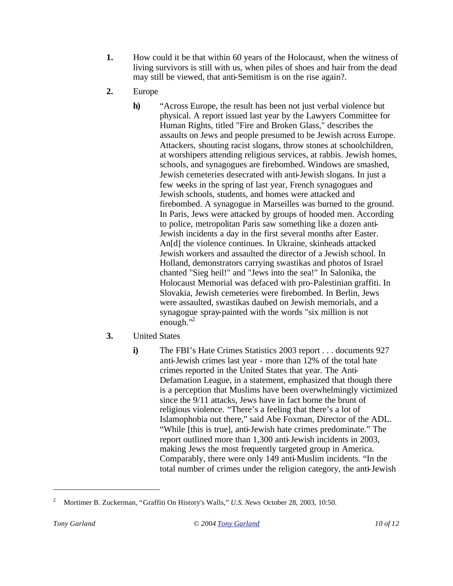- **1.** How could it be that within 60 years of the Holocaust, when the witness of living survivors is still with us, when piles of shoes and hair from the dead may still be viewed, that anti-Semitism is on the rise again?.
- **2.** Europe
	- **h)** "Across Europe, the result has been not just verbal violence but physical. A report issued last year by the Lawyers Committee for Human Rights, titled "Fire and Broken Glass," describes the assaults on Jews and people presumed to be Jewish across Europe. Attackers, shouting racist slogans, throw stones at schoolchildren, at worshipers attending religious services, at rabbis. Jewish homes, schools, and synagogues are firebombed. Windows are smashed, Jewish cemeteries desecrated with anti-Jewish slogans. In just a few weeks in the spring of last year, French synagogues and Jewish schools, students, and homes were attacked and firebombed. A synagogue in Marseilles was burned to the ground. In Paris, Jews were attacked by groups of hooded men. According to police, metropolitan Paris saw something like a dozen anti-Jewish incidents a day in the first several months after Easter. An[d] the violence continues. In Ukraine, skinheads attacked Jewish workers and assaulted the director of a Jewish school. In Holland, demonstrators carrying swastikas and photos of Israel chanted "Sieg heil!" and "Jews into the sea!" In Salonika, the Holocaust Memorial was defaced with pro-Palestinian graffiti. In Slovakia, Jewish cemeteries were firebombed. In Berlin, Jews were assaulted, swastikas daubed on Jewish memorials, and a synagogue spray-painted with the words "six million is not enough."<sup>2</sup>
- **3.** United States
	- **i)** The FBI's Hate Crimes Statistics 2003 report . . . documents 927 anti-Jewish crimes last year - more than 12% of the total hate crimes reported in the United States that year. The Anti-Defamation League, in a statement, emphasized that though there is a perception that Muslims have been overwhelmingly victimized since the 9/11 attacks, Jews have in fact borne the brunt of religious violence. "There's a feeling that there's a lot of Islamophobia out there," said Abe Foxman, Director of the ADL. "While [this is true], anti-Jewish hate crimes predominate." The report outlined more than 1,300 anti-Jewish incidents in 2003, making Jews the most frequently targeted group in America. Comparably, there were only 149 anti-Muslim incidents. "In the total number of crimes under the religion category, the anti-Jewish

<sup>2</sup> Mortimer B. Zuckerman, "Graffiti On History's Walls," *U.S. News* October 28, 2003, 10:50.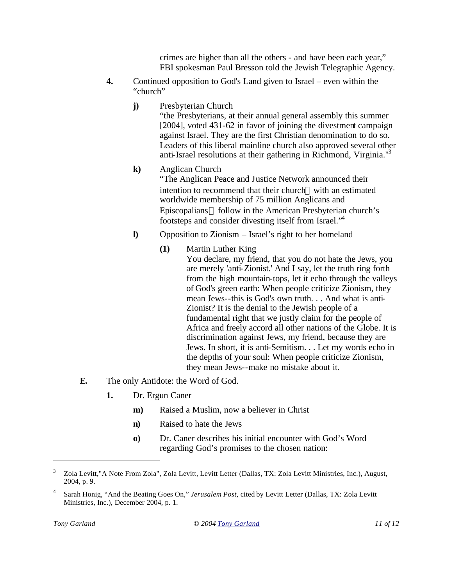crimes are higher than all the others - and have been each year," FBI spokesman Paul Bresson told the Jewish Telegraphic Agency.

- **4.** Continued opposition to God's Land given to Israel even within the "church"
	- **j)** Presbyterian Church

"the Presbyterians, at their annual general assembly this summer [2004], voted 431-62 in favor of joining the divestment campaign against Israel. They are the first Christian denomination to do so. Leaders of this liberal mainline church also approved several other anti-Israel resolutions at their gathering in Richmond, Virginia.<sup>13</sup>

**k)** Anglican Church

"The Anglican Peace and Justice Network announced their intention to recommend that their church—with an estimated worldwide membership of 75 million Anglicans and Episcopalians—follow in the American Presbyterian church's footsteps and consider divesting itself from Israel."<sup>4</sup>

**l)** Opposition to Zionism – Israel's right to her homeland

## **(1)** Martin Luther King

- You declare, my friend, that you do not hate the Jews, you are merely 'anti-Zionist.' And I say, let the truth ring forth from the high mountain-tops, let it echo through the valleys of God's green earth: When people criticize Zionism, they mean Jews--this is God's own truth. . . And what is anti-Zionist? It is the denial to the Jewish people of a fundamental right that we justly claim for the people of Africa and freely accord all other nations of the Globe. It is discrimination against Jews, my friend, because they are Jews. In short, it is anti-Semitism. . . Let my words echo in the depths of your soul: When people criticize Zionism, they mean Jews--make no mistake about it.
- **E.** The only Antidote: the Word of God.
	- **1.** Dr. Ergun Caner
		- **m)** Raised a Muslim, now a believer in Christ
		- **n)** Raised to hate the Jews
		- **o)** Dr. Caner describes his initial encounter with God's Word regarding God's promises to the chosen nation:

<sup>3</sup> Zola Levitt,"A Note From Zola", Zola Levitt, Levitt Letter (Dallas, TX: Zola Levitt Ministries, Inc.), August, 2004, p. 9.

<sup>4</sup> Sarah Honig, "And the Beating Goes On," *Jerusalem Post,* cited by Levitt Letter (Dallas, TX: Zola Levitt Ministries, Inc.), December 2004, p. 1.